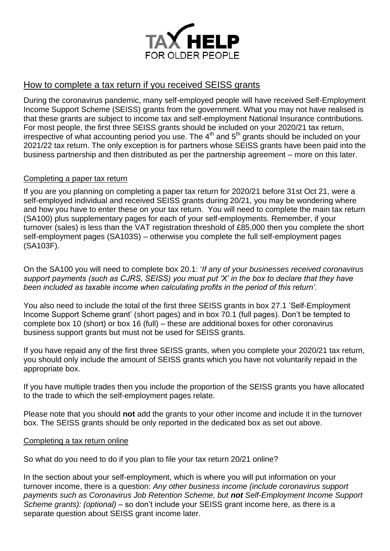

# How to complete a tax return if you received SEISS grants

During the coronavirus pandemic, many self-employed people will have received Self-Employment Income Support Scheme (SEISS) grants from the government. What you may not have realised is that these grants are subject to income tax and self-employment National Insurance contributions. For most people, the first three SEISS grants should be included on your 2020/21 tax return, irrespective of what accounting period you use. The  $4<sup>th</sup>$  and  $5<sup>th</sup>$  grants should be included on your 2021/22 tax return. The only exception is for partners whose SEISS grants have been paid into the business partnership and then distributed as per the partnership agreement – more on this later.

# Completing a paper tax return

If you are you planning on completing a paper tax return for 2020/21 before 31st Oct 21, were a self-employed individual and received SEISS grants during 20/21, you may be wondering where and how you have to enter these on your tax return. You will need to complete the main tax return (SA100) plus supplementary pages for each of your self-employments. Remember, if your turnover (sales) is less than the VAT registration threshold of £85,000 then you complete the short self-employment pages (SA103S) – otherwise you complete the full self-employment pages (SA103F).

On the SA100 you will need to complete box 20.1: '*If any of your businesses received coronavirus support payments (such as CJRS, SEISS) you must put 'X' in the box to declare that they have been included as taxable income when calculating profits in the period of this return'.*

You also need to include the total of the first three SEISS grants in box 27.1 'Self-Employment Income Support Scheme grant' (short pages) and in box 70.1 (full pages). Don't be tempted to complete box 10 (short) or box 16 (full) – these are additional boxes for other coronavirus business support grants but must not be used for SEISS grants.

If you have repaid any of the first three SEISS grants, when you complete your 2020/21 tax return, you should only include the amount of SEISS grants which you have not voluntarily repaid in the appropriate box.

If you have multiple trades then you include the proportion of the SEISS grants you have allocated to the trade to which the self-employment pages relate.

Please note that you should **not** add the grants to your other income and include it in the turnover box. The SEISS grants should be only reported in the dedicated box as set out above.

### Completing a tax return online

So what do you need to do if you plan to file your tax return 20/21 online?

In the section about your self-employment, which is where you will put information on your turnover income, there is a question: *Any other business income (include coronavirus support payments such as Coronavirus Job Retention Scheme, but not Self-Employment Income Support Scheme grants): (optional)* – so don't include your SEISS grant income here, as there is a separate question about SEISS grant income later.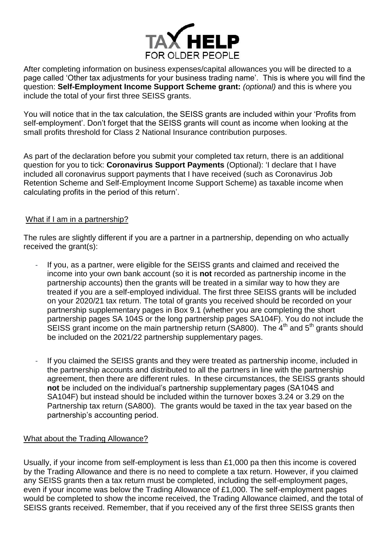

After completing information on business expenses/capital allowances you will be directed to a page called 'Other tax adjustments for your business trading name'. This is where you will find the question: **Self-Employment Income Support Scheme grant:** *(optional)* and this is where you include the total of your first three SEISS grants.

You will notice that in the tax calculation, the SEISS grants are included within your 'Profits from self-employment'. Don't forget that the SEISS grants will count as income when looking at the [small profits threshold](https://www.litrg.org.uk/tax-guides/self-employment/what-national-insurance-do-i-pay-if-i-am-self-employed#toc--what-is-the-small-profits-threshold-) for Class 2 National Insurance contribution purposes.

As part of the declaration before you submit your completed tax return, there is an additional question for you to tick: **Coronavirus Support Payments** (Optional): 'I declare that I have included all coronavirus support payments that I have received (such as Coronavirus Job Retention Scheme and Self-Employment Income Support Scheme) as taxable income when calculating profits in the period of this return'.

# What if I am in a partnership?

The rules are slightly different if you are a partner in a partnership, depending on who actually received the grant(s):

- If you, as a partner, were eligible for the SEISS grants and claimed and received the income into your own bank account (so it is **not** recorded as partnership income in the partnership accounts) then the grants will be treated in a similar way to how they are treated if you are a self-employed individual. The first three SEISS grants will be included on your 2020/21 tax return. The total of grants you received should be recorded on your partnership supplementary pages in Box 9.1 (whether you are completing the short partnership pages SA 104S or the long partnership pages SA104F). You do not include the SEISS grant income on the main partnership return (SA800). The  $4<sup>th</sup>$  and  $5<sup>th</sup>$  grants should be included on the 2021/22 partnership supplementary pages.
- If you claimed the SEISS grants and they were treated as partnership income, included in the partnership accounts and distributed to all the partners in line with the partnership agreement, then there are different rules. In these circumstances, the SEISS grants should **not** be included on the individual's partnership supplementary pages (SA104S and SA104F) but instead should be included within the turnover boxes 3.24 or 3.29 on the Partnership tax return [\(SA800\)](https://www.gov.uk/government/publications/self-assessment-partnership-tax-return-sa800). The grants would be taxed in the tax year based on the partnership's accounting period.

### What about the Trading Allowance?

Usually, if your income from self-employment is less than £1,000 pa then this income is covered by the Trading Allowance and there is no need to complete a tax return. However, if you claimed any SEISS grants then a tax return must be completed, including the self-employment pages, even if your income was below the Trading Allowance of £1,000. The self-employment pages would be completed to show the income received, the Trading Allowance claimed, and the total of SEISS grants received. Remember, that if you received any of the first three SEISS grants then